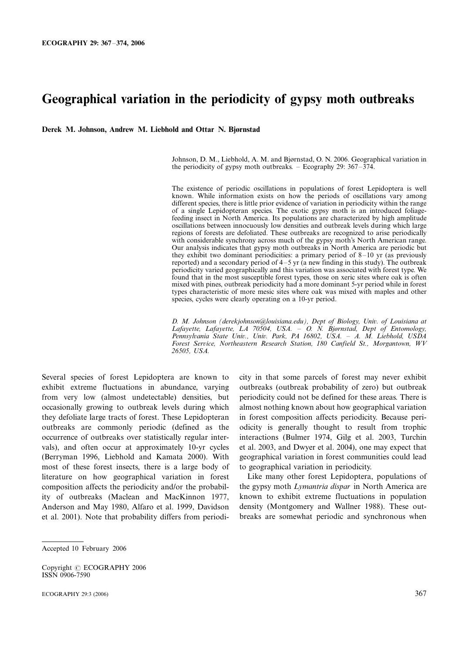# Geographical variation in the periodicity of gypsy moth outbreaks

Derek M. Johnson, Andrew M. Liebhold and Ottar N. Bjørnstad

Johnson, D. M., Liebhold, A. M. and Bjørnstad, O. N. 2006. Geographical variation in the periodicity of gypsy moth outbreaks.  $-$  Ecography 29: 367–374.

The existence of periodic oscillations in populations of forest Lepidoptera is well known. While information exists on how the periods of oscillations vary among different species, there is little prior evidence of variation in periodicity within the range of a single Lepidopteran species. The exotic gypsy moth is an introduced foliagefeeding insect in North America. Its populations are characterized by high amplitude oscillations between innocuously low densities and outbreak levels during which large regions of forests are defoliated. These outbreaks are recognized to arise periodically with considerable synchrony across much of the gypsy moth's North American range. Our analysis indicates that gypsy moth outbreaks in North America are periodic but they exhibit two dominant periodicities: a primary period of  $8-10$  yr (as previously reported) and a secondary period of  $4-5$  yr (a new finding in this study). The outbreak periodicity varied geographically and this variation was associated with forest type. We found that in the most susceptible forest types, those on xeric sites where oak is often mixed with pines, outbreak periodicity had a more dominant 5-yr period while in forest types characteristic of more mesic sites where oak was mixed with maples and other species, cycles were clearly operating on a 10-yr period.

D. M. Johnson (derekjohnson@louisiana.edu), Dept of Biology, Univ. of Louisiana at Lafayette, Lafayette, LA 70504, USA. - O. N. Bjørnstad, Dept of Entomology, Pennsylvania State Univ., Univ. Park, PA 16802, USA. A. M. Liebhold, USDA Forest Service, Northeastern Research Station, 180 Canfield St., Morgantown, WV 26505, USA.

Several species of forest Lepidoptera are known to exhibit extreme fluctuations in abundance, varying from very low (almost undetectable) densities, but occasionally growing to outbreak levels during which they defoliate large tracts of forest. These Lepidopteran outbreaks are commonly periodic (defined as the occurrence of outbreaks over statistically regular intervals), and often occur at approximately 10-yr cycles (Berryman 1996, Liebhold and Kamata 2000). With most of these forest insects, there is a large body of literature on how geographical variation in forest composition affects the periodicity and/or the probability of outbreaks (Maclean and MacKinnon 1977, Anderson and May 1980, Alfaro et al. 1999, Davidson et al. 2001). Note that probability differs from periodicity in that some parcels of forest may never exhibit outbreaks (outbreak probability of zero) but outbreak periodicity could not be defined for these areas. There is almost nothing known about how geographical variation in forest composition affects periodicity. Because periodicity is generally thought to result from trophic interactions (Bulmer 1974, Gilg et al. 2003, Turchin et al. 2003, and Dwyer et al. 2004), one may expect that geographical variation in forest communities could lead to geographical variation in periodicity.

Like many other forest Lepidoptera, populations of the gypsy moth Lymantria dispar in North America are known to exhibit extreme fluctuations in population density (Montgomery and Wallner 1988). These outbreaks are somewhat periodic and synchronous when

Accepted 10 February 2006

Copyright © ECOGRAPHY 2006 ISSN 0906-7590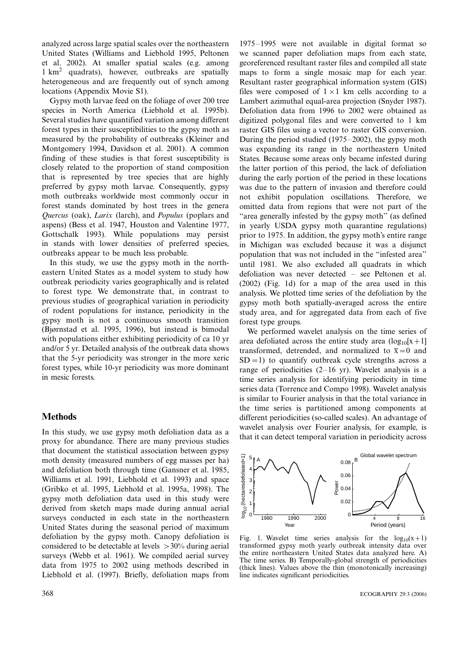analyzed across large spatial scales over the northeastern United States (Williams and Liebhold 1995, Peltonen et al. 2002). At smaller spatial scales (e.g. among  $1 \text{ km}^2$  quadrats), however, outbreaks are spatially heterogeneous and are frequently out of synch among locations (Appendix Movie S1).

Gypsy moth larvae feed on the foliage of over 200 tree species in North America (Liebhold et al. 1995b). Several studies have quantified variation among different forest types in their susceptibilities to the gypsy moth as measured by the probability of outbreaks (Kleiner and Montgomery 1994, Davidson et al. 2001). A common finding of these studies is that forest susceptibility is closely related to the proportion of stand composition that is represented by tree species that are highly preferred by gypsy moth larvae. Consequently, gypsy moth outbreaks worldwide most commonly occur in forest stands dominated by host trees in the genera Quercus (oak), Larix (larch), and Populus (poplars and aspens) (Bess et al. 1947, Houston and Valentine 1977, Gottschalk 1993). While populations may persist in stands with lower densities of preferred species, outbreaks appear to be much less probable.

In this study, we use the gypsy moth in the northeastern United States as a model system to study how outbreak periodicity varies geographically and is related to forest type. We demonstrate that, in contrast to previous studies of geographical variation in periodicity of rodent populations for instance, periodicity in the gypsy moth is not a continuous smooth transition (Bjørnstad et al. 1995, 1996), but instead is bimodal with populations either exhibiting periodicity of ca 10 yr and/or 5 yr. Detailed analysis of the outbreak data shows that the 5-yr periodicity was stronger in the more xeric forest types, while 10-yr periodicity was more dominant in mesic forests.

## **Methods**

In this study, we use gypsy moth defoliation data as a proxy for abundance. There are many previous studies that document the statistical association between gypsy moth density (measured numbers of egg masses per ha) and defoliation both through time (Gansner et al. 1985, Williams et al. 1991, Liebhold et al. 1993) and space (Gribko et al. 1995, Liebhold et al. 1995a, 1998). The gypsy moth defoliation data used in this study were derived from sketch maps made during annual aerial surveys conducted in each state in the northeastern United States during the seasonal period of maximum defoliation by the gypsy moth. Canopy defoliation is considered to be detectable at levels  $>30\%$  during aerial surveys (Webb et al. 1961). We compiled aerial survey data from 1975 to 2002 using methods described in Liebhold et al. (1997). Briefly, defoliation maps from 1975–1995 were not available in digital format so we scanned paper defoliation maps from each state, georeferenced resultant raster files and compiled all state maps to form a single mosaic map for each year. Resultant raster geographical information system (GIS) files were composed of  $1 \times 1$  km cells according to a Lambert azimuthal equal-area projection (Snyder 1987). Defoliation data from 1996 to 2002 were obtained as digitized polygonal files and were converted to 1 km raster GIS files using a vector to raster GIS conversion. During the period studied  $(1975-2002)$ , the gypsy moth was expanding its range in the northeastern United States. Because some areas only became infested during the latter portion of this period, the lack of defoliation during the early portion of the period in these locations was due to the pattern of invasion and therefore could not exhibit population oscillations. Therefore, we omitted data from regions that were not part of the "area generally infested by the gypsy moth" (as defined in yearly USDA gypsy moth quarantine regulations) prior to 1975. In addition, the gypsy moth's entire range in Michigan was excluded because it was a disjunct population that was not included in the ''infested area'' until 1981. We also excluded all quadrats in which defoliation was never detected  $-$  see Peltonen et al. (2002) (Fig. 1d) for a map of the area used in this analysis. We plotted time series of the defoliation by the gypsy moth both spatially-averaged across the entire study area, and for aggregated data from each of five forest type groups.

We performed wavelet analysis on the time series of area defoliated across the entire study area  $(\log_{10}[x+1])$ transformed, detrended, and normalized to  $\overline{x}=0$  and  $SD = 1$ ) to quantify outbreak cycle strengths across a range of periodicities  $(2-16 \text{ yr})$ . Wavelet analysis is a time series analysis for identifying periodicity in time series data (Torrence and Compo 1998). Wavelet analysis is similar to Fourier analysis in that the total variance in the time series is partitioned among components at different periodicities (so-called scales). An advantage of wavelet analysis over Fourier analysis, for example, is that it can detect temporal variation in periodicity across



Fig. 1. Wavelet time series analysis for the  $log_{10}(x+1)$ transformed gypsy moth yearly outbreak intensity data over the entire northeastern United States data analyzed here. A) The time series. B) Temporally-global strength of periodicities (thick lines). Values above the thin (monotonically increasing) line indicates significant periodicities.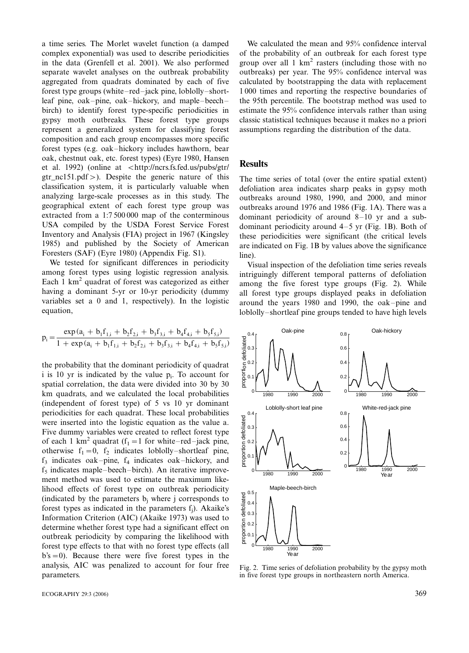a time series. The Morlet wavelet function (a damped complex exponential) was used to describe periodicities in the data (Grenfell et al. 2001). We also performed separate wavelet analyses on the outbreak probability aggregated from quadrats dominated by each of five forest type groups (white $-red$ -jack pine, loblolly-shortleaf pine, oak-pine, oak-hickory, and maple-beechbirch) to identify forest type-specific periodicities in gypsy moth outbreaks. These forest type groups represent a generalized system for classifying forest composition and each group encompasses more specific forest types (e.g. oak-hickory includes hawthorn, bear oak, chestnut oak, etc. forest types) (Eyre 1980, Hansen et al. 1992) (online at  $\lt$ http://ncrs.fs.fed.us/pubs/gtr/ gtr\_nc151.pdf/). Despite the generic nature of this classification system, it is particularly valuable when analyzing large-scale processes as in this study. The geographical extent of each forest type group was extracted from a 1:7 500 000 map of the conterminous USA compiled by the USDA Forest Service Forest Inventory and Analysis (FIA) project in 1967 (Kingsley 1985) and published by the Society of American Foresters (SAF) (Eyre 1980) (Appendix Fig. S1).

We tested for significant differences in periodicity among forest types using logistic regression analysis. Each  $1 \text{ km}^2$  quadrat of forest was categorized as either having a dominant 5-yr or 10-yr periodicity (dummy variables set a 0 and 1, respectively). In the logistic equation,

$$
p_i = \frac{\exp{(a_i + b_1 f_{1,i} + b_2 f_{2,i} + b_3 f_{3,i} + b_4 f_{4,i} + b_5 f_{5,i})}}{1 + \exp{(a_i + b_1 f_{1,i} + b_2 f_{2,i} + b_3 f_{3,i} + b_4 f_{4,i} + b_5 f_{5,i})}}
$$

the probability that the dominant periodicity of quadrat i is 10 yr is indicated by the value  $p_i$ . To account for spatial correlation, the data were divided into 30 by 30 km quadrats, and we calculated the local probabilities (independent of forest type) of 5 vs 10 yr dominant periodicities for each quadrat. These local probabilities were inserted into the logistic equation as the value a. Five dummy variables were created to reflect forest type of each 1 km<sup>2</sup> quadrat (f<sub>1</sub> = 1 for white-red-jack pine, otherwise  $f_1=0$ ,  $f_2$  indicates loblolly-shortleaf pine,  $f_3$  indicates oak-pine,  $f_4$  indicates oak-hickory, and  $f<sub>5</sub>$  indicates maple-beech-birch). An iterative improvement method was used to estimate the maximum likelihood effects of forest type on outbreak periodicity (indicated by the parameters  $b_i$  where j corresponds to forest types as indicated in the parameters fj). Akaike's Information Criterion (AIC) (Akaike 1973) was used to determine whether forest type had a significant effect on outbreak periodicity by comparing the likelihood with forest type effects to that with no forest type effects (all  $b's = 0$ . Because there were five forest types in the analysis, AIC was penalized to account for four free parameters.

We calculated the mean and 95% confidence interval of the probability of an outbreak for each forest type group over all  $1 \text{ km}^2$  rasters (including those with no outbreaks) per year. The 95% confidence interval was calculated by bootstrapping the data with replacement 1 000 times and reporting the respective boundaries of the 95th percentile. The bootstrap method was used to estimate the 95% confidence intervals rather than using classic statistical techniques because it makes no a priori assumptions regarding the distribution of the data.

### **Results**

The time series of total (over the entire spatial extent) defoliation area indicates sharp peaks in gypsy moth outbreaks around 1980, 1990, and 2000, and minor outbreaks around 1976 and 1986 (Fig. 1A). There was a dominant periodicity of around  $8-10$  yr and a subdominant periodicity around  $4-5$  yr (Fig. 1B). Both of these periodicities were significant (the critical levels are indicated on Fig. 1B by values above the significance line).

Visual inspection of the defoliation time series reveals intriguingly different temporal patterns of defoliation among the five forest type groups (Fig. 2). While all forest type groups displayed peaks in defoliation around the years  $1980$  and  $1990$ , the oak-pine and loblolly-shortleaf pine groups tended to have high levels



Fig. 2. Time series of defoliation probability by the gypsy moth in five forest type groups in northeastern north America.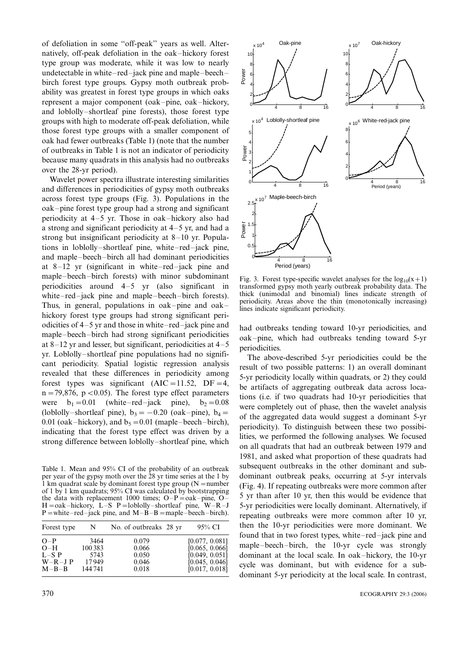of defoliation in some ''off-peak'' years as well. Alternatively, off-peak defoliation in the oak-hickory forest type group was moderate, while it was low to nearly undetectable in white $-$ red $-$ jack pine and maple $-$ beech $$ birch forest type groups. Gypsy moth outbreak probability was greatest in forest type groups in which oaks represent a major component (oak-pine, oak-hickory, and loblolly-shortleaf pine forests), those forest type groups with high to moderate off-peak defoliation, while those forest type groups with a smaller component of oak had fewer outbreaks (Table 1) (note that the number of outbreaks in Table 1 is not an indicator of periodicity because many quadrats in this analysis had no outbreaks over the 28-yr period).

Wavelet power spectra illustrate interesting similarities and differences in periodicities of gypsy moth outbreaks across forest type groups (Fig. 3). Populations in the  $oak-pine$  forest type group had a strong and significant periodicity at  $4-5$  yr. Those in oak-hickory also had a strong and significant periodicity at  $4-5$  yr, and had a strong but insignificant periodicity at  $8-10$  yr. Populations in loblolly-shortleaf pine, white-red-jack pine, and maple-beech-birch all had dominant periodicities at  $8-12$  yr (significant in white-red-jack pine and maple-beech-birch forests) with minor subdominant periodicities around  $4-5$  yr (also significant in white $-red$ -jack pine and maple-beech-birch forests). Thus, in general, populations in oak-pine and oakhickory forest type groups had strong significant periodicities of  $4-5$  yr and those in white-red-jack pine and maple-beech-birch had strong significant periodicities at  $8-12$  yr and lesser, but significant, periodicities at  $4-5$ yr. Loblolly-shortleaf pine populations had no significant periodicity. Spatial logistic regression analysis revealed that these differences in periodicity among forest types was significant  $(AIC=11.52, DF=4,$  $n = 79,876$ ,  $p < 0.05$ ). The forest type effect parameters were  $b_1=0.01$  (white-red-jack pine),  $b_2=0.08$ (loblolly-shortleaf pine),  $b_3 = -0.20$  (oak-pine),  $b_4 =$ 0.01 (oak–hickory), and  $b_5=0.01$  (maple–beech–birch), indicating that the forest type effect was driven by a strong difference between loblolly-shortleaf pine, which

Table 1. Mean and 95% CI of the probability of an outbreak per year of the gypsy moth over the 28 yr time series at the 1 by  $\hat{1}$  km quadrat scale by dominant forest type group (N = number of 1 by 1 km quadrats; 95% CI was calculated by bootstrapping the data with replacement 1000 times;  $O-P = oak-pine$ ,  $O H = oak-hickory$ , L-S P = loblolly -shortleaf pine, W-R-J  $P =$ white-red-jack pine, and M-B-B = maple-beech-birch).

| Forest type | N       | No. of outbreaks 28 yr | 95% CI         |
|-------------|---------|------------------------|----------------|
| $O-P$       | 3464    | 0.079                  | [0.077, 0.081] |
| $O-H$       | 100 383 | 0.066                  | [0.065, 0.066] |
| $L-S$ P     | 5743    | 0.050                  | [0.049, 0.051] |
| $W-R-J$ P   | 17949   | 0.046                  | [0.045, 0.046] |
| $M - B - B$ | 144 741 | 0.018                  | [0.017, 0.018] |



Fig. 3. Forest type-specific wavelet analyses for the  $log_{10}(x+1)$ transformed gypsy moth yearly outbreak probability data. The thick (unimodal and binomial) lines indicate strength of periodicity. Areas above the thin (monotonically increasing) lines indicate significant periodicity.

had outbreaks tending toward 10-yr periodicities, and oak-pine, which had outbreaks tending toward 5-yr periodicities.

The above-described 5-yr periodicities could be the result of two possible patterns: 1) an overall dominant 5-yr periodicity locally within quadrats, or 2) they could be artifacts of aggregating outbreak data across locations (i.e. if two quadrats had 10-yr periodicities that were completely out of phase, then the wavelet analysis of the aggregated data would suggest a dominant 5-yr periodicity). To distinguish between these two possibilities, we performed the following analyses. We focused on all quadrats that had an outbreak between 1979 and 1981, and asked what proportion of these quadrats had subsequent outbreaks in the other dominant and subdominant outbreak peaks, occurring at 5-yr intervals (Fig. 4). If repeating outbreaks were more common after 5 yr than after 10 yr, then this would be evidence that 5-yr periodicities were locally dominant. Alternatively, if repeating outbreaks were more common after 10 yr, then the 10-yr periodicities were more dominant. We found that in two forest types, white-red-jack pine and maple-beech-birch, the 10-yr cycle was strongly dominant at the local scale. In oak-hickory, the 10-yr cycle was dominant, but with evidence for a subdominant 5-yr periodicity at the local scale. In contrast,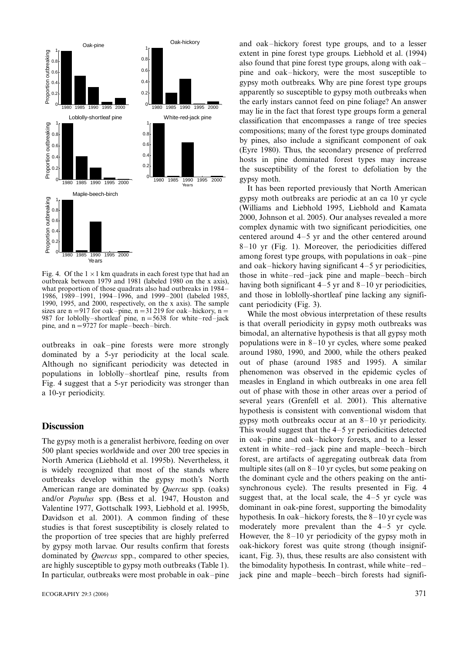

Fig. 4. Of the  $1 \times 1$  km quadrats in each forest type that had an outhreak between 1979 and 1981 (labeled 1980 on the x axis). what proportion of those quadrats also had outbreaks in 1984 1986, 1989-1991, 1994-1996, and 1999-2001 (labeled 1985, 1990, 1995, and 2000, respectively, on the x axis). The sample sizes are n = 917 for oak-pine, n = 31 219 for oak-hickory, n = 987 for loblolly-shortleaf pine,  $n = 5638$  for white-red-jack pine, and  $n = 9727$  for maple-beech-birch.

outbreaks in oak-pine forests were more strongly dominated by a 5-yr periodicity at the local scale. Although no significant periodicity was detected in populations in loblolly-shortleaf pine, results from Fig. 4 suggest that a 5-yr periodicity was stronger than a 10-yr periodicity.

#### **Discussion**

The gypsy moth is a generalist herbivore, feeding on over 500 plant species worldwide and over 200 tree species in North America (Liebhold et al. 1995b). Nevertheless, it is widely recognized that most of the stands where outbreaks develop within the gypsy moth's North American range are dominated by Quercus spp. (oaks) and/or Populus spp. (Bess et al. 1947, Houston and Valentine 1977, Gottschalk 1993, Liebhold et al. 1995b, Davidson et al. 2001). A common finding of these studies is that forest susceptibility is closely related to the proportion of tree species that are highly preferred by gypsy moth larvae. Our results confirm that forests dominated by Quercus spp., compared to other species, are highly susceptible to gypsy moth outbreaks (Table 1). In particular, outbreaks were most probable in oak-pine

and oak-hickory forest type groups, and to a lesser extent in pine forest type groups. Liebhold et al. (1994) also found that pine forest type groups, along with oak pine and oak-hickory, were the most susceptible to gypsy moth outbreaks. Why are pine forest type groups apparently so susceptible to gypsy moth outbreaks when the early instars cannot feed on pine foliage? An answer may lie in the fact that forest type groups form a general classification that encompasses a range of tree species compositions; many of the forest type groups dominated by pines, also include a significant component of oak (Eyre 1980). Thus, the secondary presence of preferred hosts in pine dominated forest types may increase the susceptibility of the forest to defoliation by the gypsy moth.

It has been reported previously that North American gypsy moth outbreaks are periodic at an ca 10 yr cycle (Williams and Liebhold 1995, Liebhold and Kamata 2000, Johnson et al. 2005). Our analyses revealed a more complex dynamic with two significant periodicities, one centered around  $4-5$  yr and the other centered around  $8-10$  yr (Fig. 1). Moreover, the periodicities differed among forest type groups, with populations in oak-pine and oak-hickory having significant  $4-5$  yr periodicities, those in white-red-jack pine and maple-beech-birch having both significant  $4-5$  yr and  $8-10$  yr periodicities. and those in loblolly-shortleaf pine lacking any significant periodicity (Fig. 3).

While the most obvious interpretation of these results is that overall periodicity in gypsy moth outbreaks was bimodal, an alternative hypothesis is that all gypsy moth populations were in  $8-10$  yr cycles, where some peaked around 1980, 1990, and 2000, while the others peaked out of phase (around 1985 and 1995). A similar phenomenon was observed in the epidemic cycles of measles in England in which outbreaks in one area fell out of phase with those in other areas over a period of several years (Grenfell et al. 2001). This alternative hypothesis is consistent with conventional wisdom that gypsy moth outbreaks occur at an  $8-10$  yr periodicity. This would suggest that the  $4-5$  yr periodicities detected in oak-pine and oak-hickory forests, and to a lesser extent in white-red-jack pine and maple-beech-birch forest, are artifacts of aggregating outbreak data from multiple sites (all on  $8-10$  yr cycles, but some peaking on the dominant cycle and the others peaking on the antisynchronous cycle). The results presented in Fig. 4 suggest that, at the local scale, the  $4-5$  yr cycle was dominant in oak-pine forest, supporting the bimodality hypothesis. In oak-hickory forests, the  $8-10$  yr cycle was moderately more prevalent than the  $4-5$  yr cycle. However, the  $8-10$  yr periodicity of the gypsy moth in oak-hickory forest was quite strong (though insignificant, Fig. 3), thus, these results are also consistent with the bimodality hypothesis. In contrast, while white-redjack pine and maple-beech-birch forests had signifi-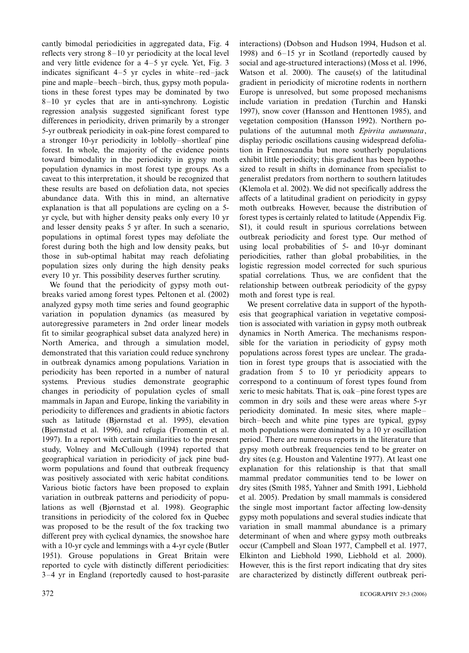cantly bimodal periodicities in aggregated data, Fig. 4 reflects very strong  $8-10$  yr periodicity at the local level and very little evidence for a  $4-5$  yr cycle. Yet, Fig. 3 indicates significant  $4-5$  yr cycles in white-red-jack pine and maple-beech-birch, thus, gypsy moth populations in these forest types may be dominated by two  $8-10$  yr cycles that are in anti-synchrony. Logistic regression analysis suggested significant forest type differences in periodicity, driven primarily by a stronger 5-yr outbreak periodicity in oak-pine forest compared to a stronger 10-yr periodicity in loblolly-shortleaf pine forest. In whole, the majority of the evidence points toward bimodality in the periodicity in gypsy moth population dynamics in most forest type groups. As a caveat to this interpretation, it should be recognized that these results are based on defoliation data, not species abundance data. With this in mind, an alternative explanation is that all populations are cycling on a 5 yr cycle, but with higher density peaks only every 10 yr and lesser density peaks 5 yr after. In such a scenario, populations in optimal forest types may defoliate the forest during both the high and low density peaks, but those in sub-optimal habitat may reach defoliating population sizes only during the high density peaks every 10 yr. This possibility deserves further scrutiny.

We found that the periodicity of gypsy moth outbreaks varied among forest types. Peltonen et al. (2002) analyzed gypsy moth time series and found geographic variation in population dynamics (as measured by autoregressive parameters in 2nd order linear models fit to similar geographical subset data analyzed here) in North America, and through a simulation model, demonstrated that this variation could reduce synchrony in outbreak dynamics among populations. Variation in periodicity has been reported in a number of natural systems. Previous studies demonstrate geographic changes in periodicity of population cycles of small mammals in Japan and Europe, linking the variability in periodicity to differences and gradients in abiotic factors such as latitude (Bjørnstad et al. 1995), elevation (Bjørnstad et al. 1996), and refugia (Fromentin et al. 1997). In a report with certain similarities to the present study, Volney and McCullough (1994) reported that geographical variation in periodicity of jack pine budworm populations and found that outbreak frequency was positively associated with xeric habitat conditions. Various biotic factors have been proposed to explain variation in outbreak patterns and periodicity of populations as well (Bjørnstad et al. 1998). Geographic transitions in periodicity of the colored fox in Quebec was proposed to be the result of the fox tracking two different prey with cyclical dynamics, the snowshoe hare with a 10-yr cycle and lemmings with a 4-yr cycle (Butler 1951). Grouse populations in Great Britain were reported to cycle with distinctly different periodicities: 34 yr in England (reportedly caused to host-parasite interactions) (Dobson and Hudson 1994, Hudson et al. 1998) and  $6-15$  yr in Scotland (reportedly caused by social and age-structured interactions) (Moss et al. 1996, Watson et al. 2000). The cause(s) of the latitudinal gradient in periodicity of microtine rodents in northern Europe is unresolved, but some proposed mechanisms include variation in predation (Turchin and Hanski 1997), snow cover (Hansson and Henttonen 1985), and vegetation composition (Hansson 1992). Northern populations of the autumnal moth Epirrita autumnata, display periodic oscillations causing widespread defoliation in Fennoscandia but more southerly populations exhibit little periodicity; this gradient has been hypothesized to result in shifts in dominance from specialist to generalist predators from northern to southern latitudes (Klemola et al. 2002). We did not specifically address the affects of a latitudinal gradient on periodicity in gypsy moth outbreaks. However, because the distribution of forest types is certainly related to latitude (Appendix Fig. S1), it could result in spurious correlations between outbreak periodicity and forest type. Our method of using local probabilities of 5- and 10-yr dominant periodicities, rather than global probabilities, in the logistic regression model corrected for such spurious spatial correlations. Thus, we are confident that the relationship between outbreak periodicity of the gypsy moth and forest type is real.

We present correlative data in support of the hypothesis that geographical variation in vegetative composition is associated with variation in gypsy moth outbreak dynamics in North America. The mechanisms responsible for the variation in periodicity of gypsy moth populations across forest types are unclear. The gradation in forest type groups that is associatied with the gradation from 5 to 10 yr periodicity appears to correspond to a continuum of forest types found from xeric to mesic habitats. That is, oak-pine forest types are common in dry soils and these were areas where 5-yr periodicity dominated. In mesic sites, where maple birch-beech and white pine types are typical, gypsy moth populations were dominated by a 10 yr oscillation period. There are numerous reports in the literature that gypsy moth outbreak frequencies tend to be greater on dry sites (e.g. Houston and Valentine 1977). At least one explanation for this relationship is that that small mammal predator communities tend to be lower on dry sites (Smith 1985, Yahner and Smith 1991, Liebhold et al. 2005). Predation by small mammals is considered the single most important factor affecting low-density gypsy moth populations and several studies indicate that variation in small mammal abundance is a primary determinant of when and where gypsy moth outbreaks occur (Campbell and Sloan 1977, Campbell et al. 1977, Elkinton and Liebhold 1990, Liebhold et al. 2000). However, this is the first report indicating that dry sites are characterized by distinctly different outbreak peri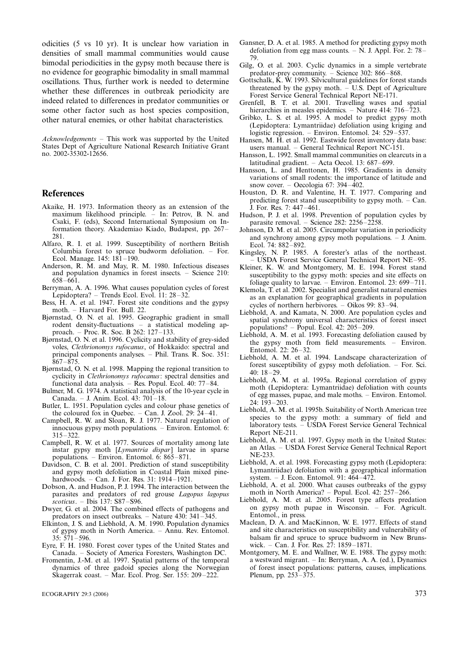odicities (5 vs 10 yr). It is unclear how variation in densities of small mammal communities would cause bimodal periodicities in the gypsy moth because there is no evidence for geographic bimodality in small mammal oscillations. Thus, further work is needed to determine whether these differences in outbreak periodicity are indeed related to differences in predator communities or some other factor such as host species composition, other natural enemies, or other habitat characteristics.

Acknowledgements - This work was supported by the United States Dept of Agriculture National Research Initiative Grant no. 2002-35302-12656.

#### References

- Akaike, H. 1973. Information theory as an extension of the maximum likelihood principle. In: Petrov, B. N. and Csaki, F. (eds), Second International Symposium on Information theory. Akademiao Kiado, Budapest, pp. 267 281.
- Alfaro, R. I. et al. 1999. Susceptibility of northern British Columbia forest to spruce budworm defoliation. For. Ecol. Manage.  $145: 181-190$ .
- Anderson, R. M. and May, R. M. 1980. Infectious diseases and population dynamics in forest insects. - Science 210:  $658 - 661$ .
- Berryman, A. A. 1996. What causes population cycles of forest Lepidoptera? - Trends Ecol. Evol. 11: 28-32.
- Bess,  $\hat{H}$ . A. et al. 1947. Forest site conditions and the gypsy moth. Harvard For. Bull. 22.
- Bjørnstad, O. N. et al. 1995. Geographic gradient in small rodent density-fluctuations  $-$  a statistical modeling approach. - Proc. R. Soc. B 262: 127-133.
- Bjørnstad, O. N. et al. 1996. Cyclicity and stability of grey-sided voles, Clethrionomys rufocanus, of Hokkaido: spectral and principal components analyses. Phil. Trans. R. Soc. 351:  $\hat{8}67 - \hat{8}75.$
- Bjørnstad, O. N. et al. 1998. Mapping the regional transition to cyclicity in Clethrionomys rufocanus: spectral densities and functional data analysis.  $-$  Res. Popul. Ecol. 40: 77-84.
- Bulmer, M. G. 1974. A statistical analysis of the 10-year cycle in Canada. - J. Anim. Ecol. 43: 701-18.
- Butler, L. 1951. Population cycles and colour phase genetics of the coloured fox in Quebec.  $-$  Can. J. Zool. 29: 24 $-41$ .
- Campbell, R. W. and Sloan, R. J. 1977. Natural regulation of innocuous gypsy moth populations. Environ. Entomol. 6:  $315 - 322$ .
- Campbell, R. W. et al. 1977. Sources of mortality among late instar gypsy moth [Lymantria dispar] larvae in sparse populations. - Environ. Entomol.  $6.865 - 871$ .
- Davidson, C. B. et al. 2001. Prediction of stand susceptibility and gypsy moth defoliation in Coastal Plain mixed pinehardwoods. - Can. J. For. Res. 31: 1914-1921.
- Dobson, A. and Hudson, P. J. 1994. The interaction between the parasites and predators of red grouse Lagopus lagopus  $scoticus. - Ibis$  137: S87-S96.
- Dwyer, G. et al. 2004. The combined effects of pathogens and predators on insect outbreaks.  $-$  Nature 430: 341-345.
- Elkinton, J. S. and Liebhold, A. M. 1990. Population dynamics of gypsy moth in North America. Annu. Rev. Entomol.  $35: 571 - 596.$
- Eyre, F. H. 1980. Forest cover types of the United States and Canada. - Society of America Foresters, Washington DC.
- Fromentin, J.-M. et al. 1997. Spatial patterns of the temporal dynamics of three gadoid species along the Norwegian Skagerrak coast. - Mar. Ecol. Prog. Ser. 155: 209-222.
- Gansner, D. A. et al. 1985. A method for predicting gypsy moth defoliation from egg mass counts.  $-\hat{N}$ . J. Appl. For. 2: 78– 79.
- Gilg, O. et al. 2003. Cyclic dynamics in a simple vertebrate predator-prey community.  $-$  Science 302: 866 $-868$ .
- Gottschalk,  $\hat{K}$ . W. 1993. Silvicultural guidelines for forest stands threatened by the gypsy moth.  $-$  U.S. Dept of Agriculture Forest Service General Technical Report NE-171.
- Grenfell, B. T. et al. 2001. Travelling waves and spatial hierarchies in measles epidemics.  $-$  Nature 414: 716-723.
- Gribko, L. S. et al. 1995. A model to predict gypsy moth (Lepidoptera: Lymantriidae) defoliation using kriging and logistic regression. – Environ. Entomol. 24:  $529-537$ .
- Hansen, M. H. et al. 1992. Eastwide forest inventory data base: users manual. - General Technical Report NC-151.
- Hansson, L. 1992. Small mammal communities on clearcuts in a latitudinal gradient. - Acta Oecol. 13: 687-699.
- Hansson, L. and Henttonen, H. 1985. Gradients in density variations of small rodents: the importance of latitude and snow cover. – Oecologia 67:  $394-\hat{402}$ .
- Houston, D. R. and Valentine, H. T. 1977. Comparing and predicting forest stand susceptibility to gypsy moth. Can. J. For. Res. 7: 447–461.
- Hudson, P. J. et al. 1998. Prevention of population cycles by parasite removal.  $-$  Science 282: 2256 $-2258$ .
- Johnson, D. M. et al. 2005. Circumpolar variation in periodicity and synchrony among gypsy moth populations.  $-$  J. Anim. Ecol. 74: 882-892.
- Kingsley, N. P. 1985. A forester's atlas of the northeast. USDA Forest Service General Technical Report NE-95.
- Kleiner, K. W. and Montgomery, M. E. 1994. Forest stand susceptibility to the gypsy moth: species and site effects on foliage quality to larvae.  $-$  Environ. Entomol. 23: 699-711.
- Klemola, T. et al. 2002. Specialist and generalist natural enemies as an explanation for geographical gradients in population cycles of northern herbivores.  $-$  Oikos 99: 83–94.
- Liebhold, A. and Kamata, N. 2000. Are population cycles and spatial synchrony universal characteristics of forest insect populations?  $-$  Popul. Ecol. 42: 205 $-$ 209.
- Liebhold, A. M. et al. 1993. Forecasting defoliation caused by the gypsy moth from field measurements. Environ. Entomol.  $22: 26 - 32$ .
- Liebhold, A. M. et al. 1994. Landscape characterization of forest susceptibility of gypsy moth defoliation. - For. Sci. 40: 1829.
- Liebhold, A. M. et al. 1995a. Regional correlation of gypsy moth (Lepidoptera: Lymantriidae) defoliation with counts of egg masses, pupae, and male moths. Environ. Entomol. 24:  $193 - 203$ .
- Liebhold, A. M. et al. 1995b. Suitability of North American tree species to the gypsy moth: a summary of field and laboratory tests. - USDA Forest Service General Technical Report NE-211.
- Liebhold, A. M. et al. 1997. Gypsy moth in the United States: an Atlas. USDA Forest Service General Technical Report NE-233.
- Liebhold, A. et al. 1998. Forecasting gypsy moth (Lepidoptera: Lymantriidae) defoliation with a geographical information system. - J. Econ. Entomol. 91:  $464-472$ .
- Liebhold, A. et al. 2000. What causes outbreaks of the gypsy moth in North America? – Popul. Ecol.  $42: 257-266$ .
- Liebhold, A. M. et al. 2005. Forest type affects predation on gypsy moth pupae in Wisconsin. For. Agricult. Entomol., in press.
- Maclean, D. A. and MacKinnon, W. E. 1977. Effects of stand and site characteristics on susceptibility and vulnerability of balsam fir and spruce to spruce budworm in New Brunswick. - Can. J. For. Res.  $27: 1859 - 1871$ .
- Montgomery, M. E. and Wallner, W. E. 1988. The gypsy moth: a westward migrant. - In: Berryman, A. A. (ed.), Dynamics of forest insect populations: patterns, causes, implications. Plenum, pp.  $253 - 375$ .